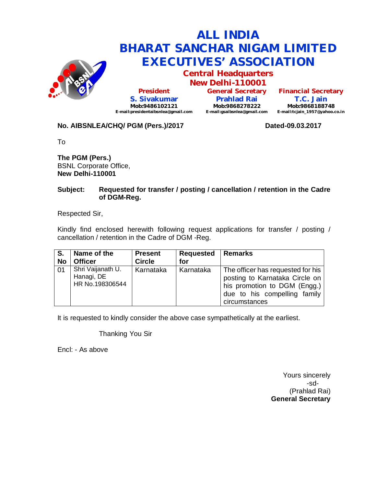

# **ALL INDIA BHARAT SANCHAR NIGAM LIMITED EXECUTIVES' ASSOCIATION**

**Central Headquarters**

**New Delhi-110001 President S. Sivakumar Mob:9486102121 E-mail:presidentaibsnlea@gmail.com**

**General Secretary Prahlad Rai Mob:9868278222 E-mail:gsaibsnlea@gmail.com**

**Financial Secretary T.C. Jain Mob:9868188748 E-mail:tcjain\_1957@yahoo.co.in**

## **No. AIBSNLEA/CHQ/ PGM (Pers.)/2017 Dated-09.03.2017**

To

**The PGM (Pers.)** BSNL Corporate Office, **New Delhi-110001** 

### **Subject: Requested for transfer / posting / cancellation / retention in the Cadre of DGM-Reg.**

Respected Sir,

Kindly find enclosed herewith following request applications for transfer / posting / cancellation / retention in the Cadre of DGM -Reg.

| S.        | Name of the                                        | <b>Present</b> | <b>Requested</b> | Remarks                                                                                                                                              |
|-----------|----------------------------------------------------|----------------|------------------|------------------------------------------------------------------------------------------------------------------------------------------------------|
| <b>No</b> | <b>Officer</b>                                     | <b>Circle</b>  | for              |                                                                                                                                                      |
| 01        | Shri Vaijanath U.<br>Hanagi, DE<br>HR No.198306544 | Karnataka      | Karnataka        | The officer has requested for his<br>posting to Karnataka Circle on<br>his promotion to DGM (Engg.)<br>due to his compelling family<br>circumstances |

It is requested to kindly consider the above case sympathetically at the earliest.

Thanking You Sir

Encl: - As above

Yours sincerely -sd- (Prahlad Rai) **General Secretary**